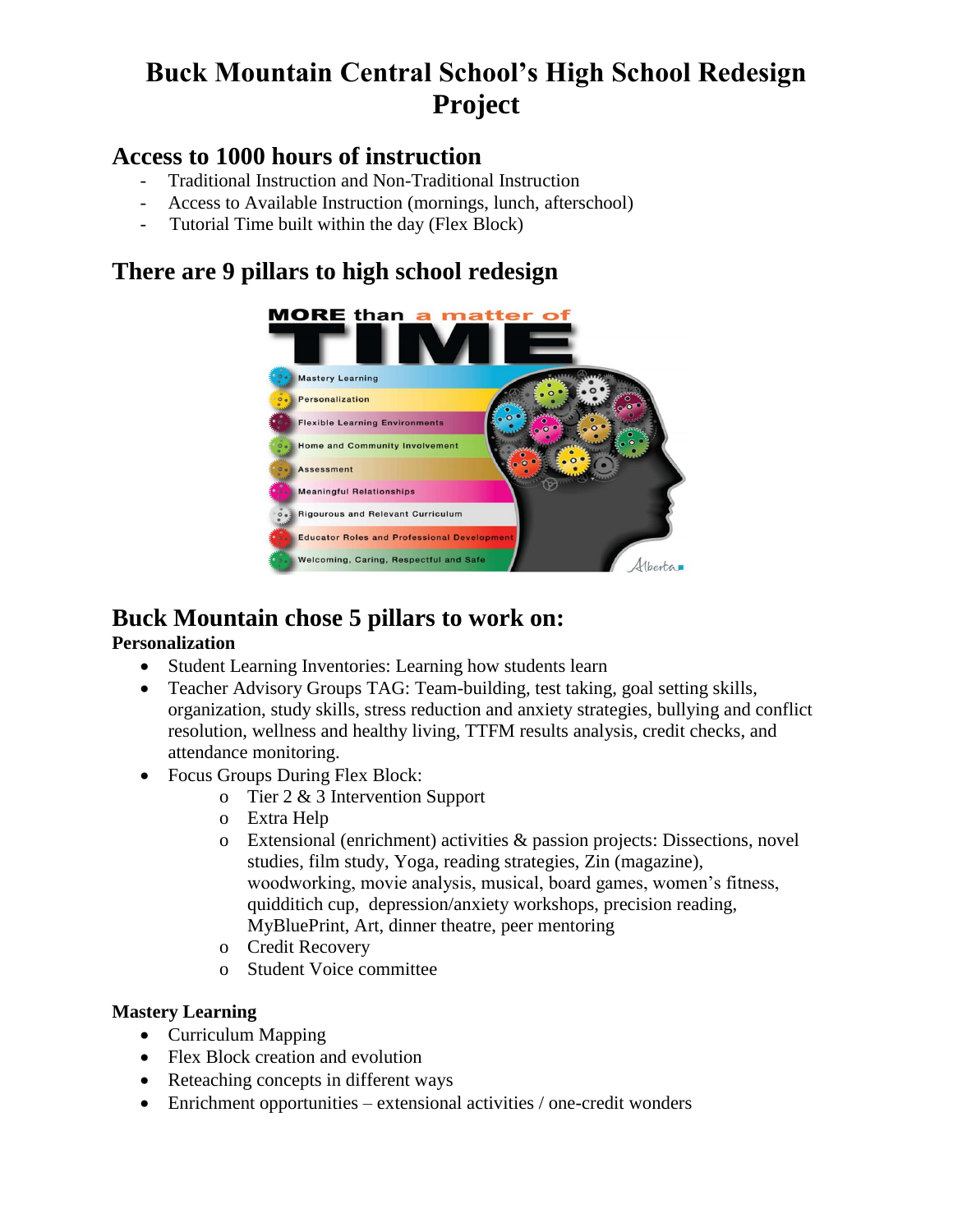# **Buck Mountain Central School's High School Redesign Project**

### **Access to 1000 hours of instruction**

- Traditional Instruction and Non-Traditional Instruction
- Access to Available Instruction (mornings, lunch, afterschool)
- Tutorial Time built within the day (Flex Block)

### **There are 9 pillars to high school redesign**



## **Buck Mountain chose 5 pillars to work on:**

### **Personalization**

- Student Learning Inventories: Learning how students learn
- Teacher Advisory Groups TAG: Team-building, test taking, goal setting skills, organization, study skills, stress reduction and anxiety strategies, bullying and conflict resolution, wellness and healthy living, TTFM results analysis, credit checks, and attendance monitoring.
- Focus Groups During Flex Block:
	- o Tier 2 & 3 Intervention Support
	- o Extra Help
	- o Extensional (enrichment) activities & passion projects: Dissections, novel studies, film study, Yoga, reading strategies, Zin (magazine), woodworking, movie analysis, musical, board games, women's fitness, quidditich cup, depression/anxiety workshops, precision reading, MyBluePrint, Art, dinner theatre, peer mentoring
	- o Credit Recovery
	- o Student Voice committee

### **Mastery Learning**

- Curriculum Mapping
- Flex Block creation and evolution
- Reteaching concepts in different ways
- Enrichment opportunities extensional activities / one-credit wonders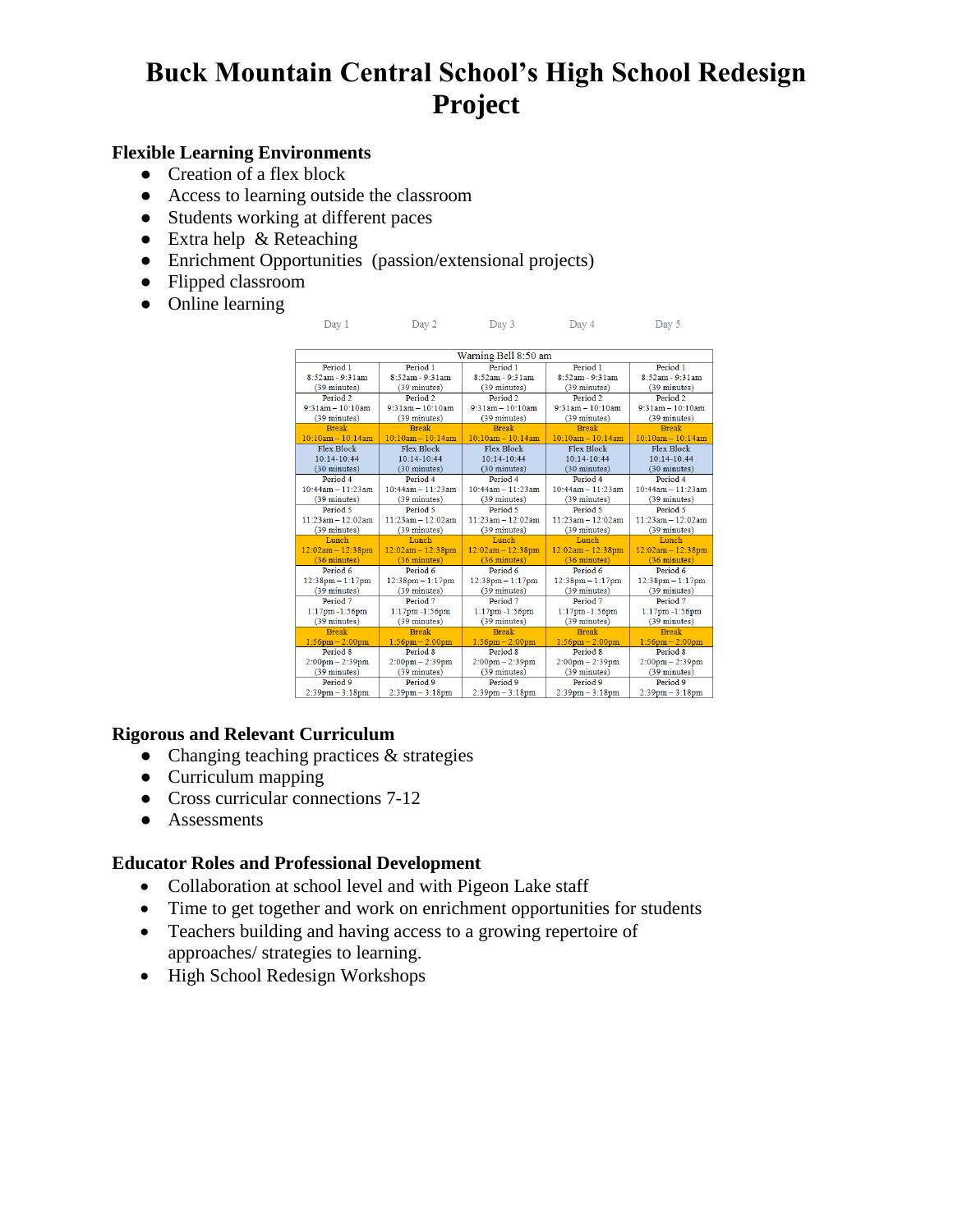# **Buck Mountain Central School's High School Redesign Project**

#### **Flexible Learning Environments**

- Creation of a flex block
- Access to learning outside the classroom
- Students working at different paces
- Extra help & Reteaching
- Enrichment Opportunities (passion/extensional projects)
- Flipped classroom
- Online learning

| Warning Bell 8:50 am   |                                   |                         |                        |                        |
|------------------------|-----------------------------------|-------------------------|------------------------|------------------------|
| Period 1               | Period 1                          | Period 1                | Period 1               | Period <sub>1</sub>    |
| 8:52am - 9:31am        | $8:52am - 9:31am$                 | $8:52am - 9:31am$       | 8:52am - 9:31am        | $8:52am - 9:31am$      |
| $(39 \text{ minutes})$ | $(39 \text{ minutes})$            | $(39 \text{ minutes})$  | $(39 \text{ minutes})$ | (39 minutes)           |
| Period <sub>2</sub>    | Period <sub>2</sub>               | Period <sub>2</sub>     | Period <sub>2</sub>    | Period <sub>2</sub>    |
| $9.31$ am - $10.10$ am | $9:31$ am $-10:10$ am             | $9:31am - 10:10am$      | $9:31am - 10:10am$     | $9:31am - 10:10am$     |
| $(39 \text{ minutes})$ | $(39 \text{ minutes})$            | $(39 \text{ minutes})$  | $(39 \text{ minutes})$ | $(39 \text{ minutes})$ |
| <b>Break</b>           | <b>Break</b>                      | <b>Break</b>            | <b>Break</b>           | <b>Break</b>           |
| $10:10am - 10:14am$    | $10:10am - 10:14am$               | $10:10am - 10:14am$     | $10:10am - 10:14am$    | $10:10am - 10:14am$    |
| <b>Flex Block</b>      | <b>Flex Block</b>                 | Flex Block              | Flex Block             | Flex Block             |
| $10-14-10-44$          | $10-14-10-44$                     | 10:14-10:44             | $10-14-10-44$          | $10:14-10:44$          |
| $(30 \text{ minutes})$ | (30 minutes)                      | (30 minutes)            | (30 minutes)           | (30 minutes)           |
| Period 4               | Period 4                          | Period 4                | Period 4               | Period 4               |
| $10:44am - 11:23am$    | $10:44am - 11:23am$               | $10:44am - 11:23am$     | $10:44am - 11:23am$    | $10:44am - 11:23am$    |
| (39 minutes)           | (39 minutes)                      | (39 minutes)            | (39 minutes)           | (39 minutes)           |
| Period 5               | Period 5                          | Period 5                | Period 5               | Period 5               |
| $11:23am - 12:02am$    | $11:23am - 12:02am$               | $11 - 23am - 12 - 02am$ | $11:23am - 12:02am$    | $11:23am - 12:02am$    |
| (39 minutes)           | (39 minutes)                      | (39 minutes)            | (39 minutes)           | (39 minutes)           |
| Lunch                  | Lunch                             | Lunch                   | Lunch                  | Lunch                  |
| $12:02am - 12:38pm$    | $12:02am - 12:38pm$               | $12:02am - 12:38pm$     | $12:02am - 12:38pm$    | $12:02am - 12:38pm$    |
| $(36 \text{ minutes})$ | $(36 \text{ minutes})$            | $(36 \text{ minutes})$  | $(36 \text{ minutes})$ | $(36 \text{ minutes})$ |
| Period 6               | Period 6                          | Period 6                | Period 6               | Period 6               |
| $12:38pm - 1:17pm$     | $12:38pm - 1:17pm$                | $12:38pm - 1:17pm$      | $12:38$ pm $-1:17$ pm  | $12:38pm - 1:17pm$     |
| (39 minutes)           | (39 minutes)                      | (39 minutes)            | (39 minutes)           | (39 minutes)           |
| Period 7               | Period 7                          | Period 7                | Period 7               | Period 7               |
| $1:17$ pm $-1:56$ pm   | $1:17$ pm $-1:56$ pm              | $1:17$ pm $-1:56$ pm    | $1:17$ pm $-1:56$ pm   | 1:17pm-1:56pm          |
| $(39 \text{ minutes})$ | $(39 \text{ minutes})$            | $(39 \text{ minutes})$  | $(39 \text{ minutes})$ | $(39 \text{ minutes})$ |
| <b>Break</b>           | <b>Break</b>                      | <b>Break</b>            | <b>Break</b>           | <b>Break</b>           |
| $1:56$ pm - 2:00pm     | $1:56$ pm $- 2:00$ pm             | $1:56$ pm $- 2:00$ pm   | $1:56$ pm $- 2:00$ pm  | $1:56$ pm $- 2:00$ pm  |
| Period 8               | Period 8                          | Period 8                | Period <sub>8</sub>    | Period 8               |
| $2:00$ pm $- 2:39$ pm  | $2:00 \text{pm} - 2:39 \text{pm}$ | $2:00$ pm $- 2:39$ pm   | $2:00$ pm $- 2:39$ pm  | $2:00$ pm $- 2:39$ pm  |
| $(39 \text{ minutes})$ | $(39 \text{ minutes})$            | $(39 \text{ minutes})$  | $(39 \text{ minutes})$ | $(39 \text{ minutes})$ |
| Period 9               | Period <sub>9</sub>               | Period <sub>9</sub>     | Period 9               | Period 9               |
| $2:39$ pm $-3:18$ pm   | $2:39$ pm $-3:18$ pm              | $2:39$ pm $-3:18$ pm    | $2:39$ pm $-3:18$ pm   | $2:39$ pm $-3:18$ pm   |

Day 1 Day 2 Day 3 Day 4 Day 5

#### **Rigorous and Relevant Curriculum**

- Changing teaching practices & strategies
- Curriculum mapping
- Cross curricular connections 7-12
- Assessments

#### **Educator Roles and Professional Development**

- Collaboration at school level and with Pigeon Lake staff
- Time to get together and work on enrichment opportunities for students
- Teachers building and having access to a growing repertoire of approaches/ strategies to learning.
- High School Redesign Workshops